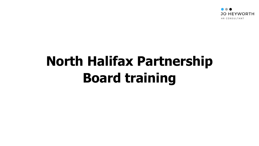

# **North Halifax Partnership Board training**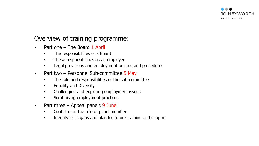

#### Overview of training programme:

- Part one  $-$  The Board 1 April
	- The responsibilities of a Board
	- These responsibilities as an employer
	- Legal provisions and employment policies and procedures
- Part two Personnel Sub-committee 5 May
	- The role and responsibilities of the sub-committee
	- Equality and Diversity
	- Challenging and exploring employment issues
	- Scrutinising employment practices
- Part three Appeal panels 9 June
	- Confident in the role of panel member
	- Identify skills gaps and plan for future training and support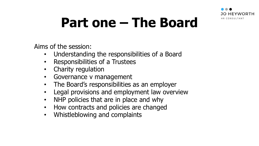

# **Part one – The Board**

Aims of the session:

- Understanding the responsibilities of a Board
- Responsibilities of a Trustees
- Charity regulation
- Governance v management
- The Board's responsibilities as an employer
- Legal provisions and employment law overview
- NHP policies that are in place and why
- How contracts and policies are changed
- Whistleblowing and complaints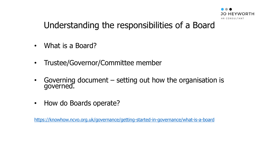

## Understanding the responsibilities of a Board

- What is a Board?
- Trustee/Governor/Committee member
- Governing document  $-$  setting out how the organisation is governed.
- How do Boards operate?

<https://knowhow.ncvo.org.uk/governance/getting-started-in-governance/what-is-a-board>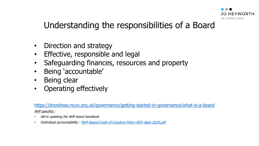

## Understanding the responsibilities of a Board

- Direction and strategy
- Effective, responsible and legal
- Safeguarding finances, resources and property
- Being 'accountable'
- Being clear
- Operating effectively

<https://knowhow.ncvo.org.uk/governance/getting-started-in-governance/what-is-a-board> NHP specifics :

- We're updating the NHP board handbook
- Individual accountability : [NHP Board-Code-of-Conduct-Policy-REV-Sept-2020.pdf](http://surestartchildrenscentresnhp.org.uk/wp-content/uploads/2020/10/Board-Code-of-Conduct-Policy-REV-Sept-2020.pdf)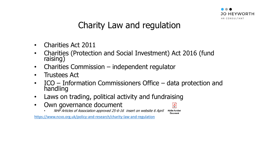

# Charity Law and regulation

- Charities Act 2011
- Charities (Protection and Social Investment) Act 2016 (fund raising)
- Charities Commission independent regulator
- Trustees Act
- ICO Information Commissioners Office data protection and handling
- Laws on trading, political activity and fundraising
- Own governance document
	- NHP Articles of Association approved 25-6-16 insert on website 6 April

Adobe Acrobat Document

 $\frac{1}{2}$ 

<https://www.ncvo.org.uk/policy-and-research/charity-law-and-regulation>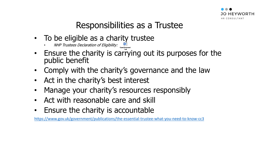

# Responsibilities as a Trustee

- To be eligible as a charity trustee
	- NHP Trustees Declaration of Eligibility:
- Ensure the charity is carrying out its purposes for the public benefit
- Comply with the charity's governance and the law
- Act in the charity's best interest
- Manage your charity's resources responsibly
- Act with reasonable care and skill
- Ensure the charity is accountable

<https://www.gov.uk/government/publications/the-essential-trustee-what-you-need-to-know-cc3>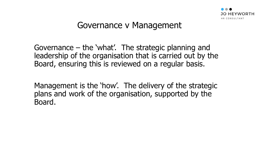

#### Governance v Management

Governance – the 'what'. The strategic planning and leadership of the organisation that is carried out by the Board, ensuring this is reviewed on a regular basis.

Management is the 'how'. The delivery of the strategic plans and work of the organisation, supported by the Board.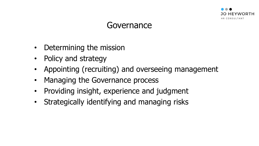

#### Governance

- Determining the mission
- Policy and strategy
- Appointing (recruiting) and overseeing management
- Managing the Governance process
- Providing insight, experience and judgment
- Strategically identifying and managing risks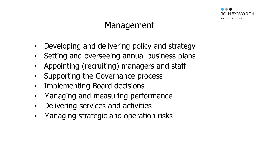

# Management

- Developing and delivering policy and strategy
- Setting and overseeing annual business plans
- Appointing (recruiting) managers and staff
- Supporting the Governance process
- Implementing Board decisions
- Managing and measuring performance
- Delivering services and activities
- Managing strategic and operation risks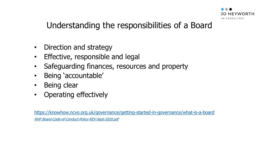

#### Understanding the responsibilities of a Board

- Direction and strategy
- Effective, responsible and legal
- Safeguarding finances, resources and property
- Being 'accountable'
- Being clear
- Operating effectively

<https://knowhow.ncvo.org.uk/governance/getting-started-in-governance/what-is-a-board> <NHP Board-Code-of-Conduct-Policy-REV-Sept-2020.pdf>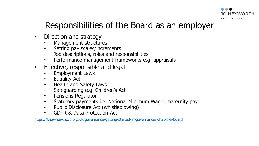

## Responsibilities of the Board as an employer

- Direction and strategy
	- Management structures
	- Setting pay scales/increments
	- Job descriptions, roles and responsibilities
	- Performance management frameworks e.g. appraisals
- Effective, responsible and legal
	- Employment Laws
	- Equality Act
	- Health and Safety Laws
	- Safeguarding e.g. Children's Act
	- Pensions Regulator
	- Statutory payments i.e. National Minimum Wage, maternity pay
	- Public Disclosure Act (whistleblowing)
	- GDPR & Data Protection Act

<https://knowhow.ncvo.org.uk/governance/getting-started-in-governance/what-is-a-board>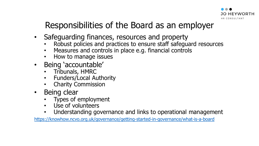

# Responsibilities of the Board as an employer

- Safeguarding finances, resources and property
	- Robust policies and practices to ensure staff safeguard resources
	- Measures and controls in place e.g. financial controls
	- How to manage issues
- Being 'accountable'
	- Tribunals, HMRC
	- Funders/Local Authority
	- Charity Commission
- Being clear
	- Types of employment
	- Use of volunteers
	- Understanding governance and links to operational management

<https://knowhow.ncvo.org.uk/governance/getting-started-in-governance/what-is-a-board>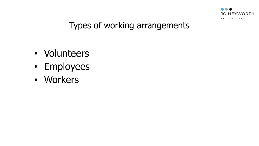

### Types of working arrangements

- Volunteers
- Employees
- Workers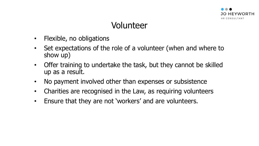

# Volunteer

- Flexible, no obligations
- Set expectations of the role of a volunteer (when and where to show up)
- Offer training to undertake the task, but they cannot be skilled up as a result.
- No payment involved other than expenses or subsistence
- Charities are recognised in the Law, as requiring volunteers
- Ensure that they are not 'workers' and are volunteers.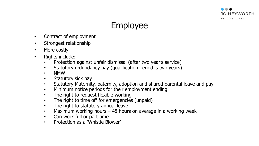



- Contract of employment
- Strongest relationship
- More costly
- Rights include:
	- Protection against unfair dismissal (after two year's service)
	- Statutory redundancy pay (qualification period is two years)
	- NMW
	- Statutory sick pay
	- Statutory Maternity, paternity, adoption and shared parental leave and pay
	- Minimum notice periods for their employment ending
	- The right to request flexible working
	- The right to time off for emergencies (unpaid)
	- The right to statutory annual leave
	- Maximum working hours 48 hours on average in a working week
	- Can work full or part time
	- Protection as a 'Whistle Blower'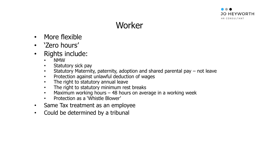

# **Worker**

- More flexible
- 'Zero hours'
- Rights include:
	- NMW
	- Statutory sick pay
	- Statutory Maternity, paternity, adoption and shared parental pay not leave
	- Protection against unlawful deduction of wages
	- The right to statutory annual leave
	- The right to statutory minimum rest breaks
	- Maximum working hours 48 hours on average in a working week
	- Protection as a 'Whistle Blower'
- Same Tax treatment as an employee
- Could be determined by a tribunal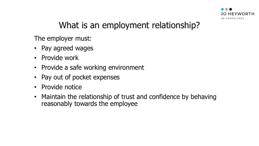

# What is an employment relationship?

The employer must:

- Pay agreed wages
- Provide work
- Provide a safe working environment
- Pay out of pocket expenses
- Provide notice
- Maintain the relationship of trust and confidence by behaving reasonably towards the employee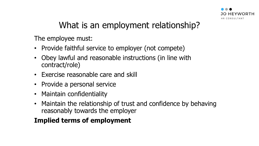

# What is an employment relationship?

The employee must:

- Provide faithful service to employer (not compete)
- Obey lawful and reasonable instructions (in line with contract/role)
- Exercise reasonable care and skill
- Provide a personal service
- Maintain confidentiality
- Maintain the relationship of trust and confidence by behaving reasonably towards the employer

#### **Implied terms of employment**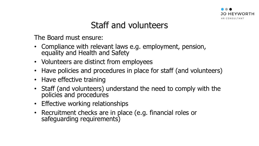

## Staff and volunteers

The Board must ensure:

- Compliance with relevant laws e.g. employment, pension, equality and Health and Safety
- Volunteers are distinct from employees
- Have policies and procedures in place for staff (and volunteers)
- Have effective training
- Staff (and volunteers) understand the need to comply with the policies and procedures
- Effective working relationships
- Recruitment checks are in place (e.g. financial roles or safeguarding requirements)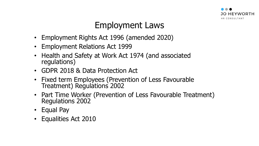

# Employment Laws

- Employment Rights Act 1996 (amended 2020)
- Employment Relations Act 1999
- Health and Safety at Work Act 1974 (and associated regulations)
- GDPR 2018 & Data Protection Act
- Fixed term Employees (Prevention of Less Favourable Treatment) Regulations 2002
- Part Time Worker (Prevention of Less Favourable Treatment) Regulations 2002
- Equal Pay
- Equalities Act 2010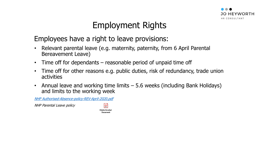

# Employment Rights

#### Employees have a right to leave provisions:

- Relevant parental leave (e.g. maternity, paternity, from 6 April Parental Bereavement Leave)
- Time off for dependants  $-$  reasonable period of unpaid time off
- Time off for other reasons e.g. public duties, risk of redundancy, trade union activities
- Annual leave and working time limits  $-5.6$  weeks (including Bank Holidays) and limits to the working week

[NHP Authorised-Absence-policy-REV-April-2020.pdf](http://surestartchildrenscentresnhp.org.uk/wp-content/uploads/2020/06/Authorised-Absence-policy-REV-April-2020.pdf)

NHP Parental Leave policy

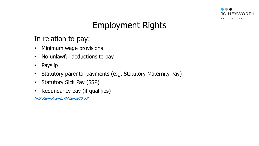

# Employment Rights

#### In relation to pay:

- Minimum wage provisions
- No unlawful deductions to pay
- Payslip
- Statutory parental payments (e.g. Statutory Maternity Pay)
- Statutory Sick Pay (SSP)
- Redundancy pay (if qualifies)

[NHP Pay-Policy-NEW-May-2020.pdf](http://surestartchildrenscentresnhp.org.uk/wp-content/uploads/2020/06/Pay-Policy-NEW-May-2020.pdf)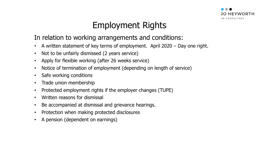

# Employment Rights

#### In relation to working arrangements and conditions:

- A written statement of key terms of employment. April 2020 Day one right.
- Not to be unfairly dismissed (2 years service)
- Apply for flexible working (after 26 weeks service)
- Notice of termination of employment (depending on length of service)
- Safe working conditions
- Trade union membership
- Protected employment rights if the employer changes (TUPE)
- Written reasons for dismissal
- Be accompanied at dismissal and grievance hearings.
- Protection when making protected disclosures
- A pension (dependent on earnings)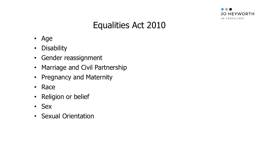

# Equalities Act 2010

- Age
- Disability
- Gender reassignment
- Marriage and Civil Partnership
- Pregnancy and Maternity
- Race
- Religion or belief
- Sex
- Sexual Orientation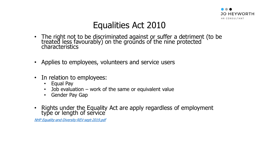

### Equalities Act 2010

- The right not to be discriminated against or suffer a detriment (to be treated less favourably) on the grounds of the nine protected characteristics
- Applies to employees, volunteers and service users
- In relation to employees:
	- Equal Pay
	- Job evaluation  $-$  work of the same or equivalent value
	- Gender Pay Gap
- Rights under the Equality Act are apply regardless of employment type or length of service

[NHP Equality-and-Diversity-REV-sept-2019.pdf](http://surestartchildrenscentresnhp.org.uk/wp-content/uploads/2019/05/Equality-and-Diversity-REV-sept-2019.pdf)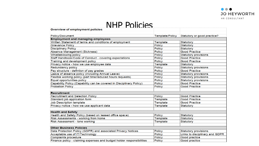

#### NHP Policies

| Overview of employment policies                                       |                        |                                |
|-----------------------------------------------------------------------|------------------------|--------------------------------|
|                                                                       |                        |                                |
| Policy/Document                                                       | <b>Template/Policy</b> | Statutory or good practice?    |
| <b>Employment and managing employees</b>                              |                        |                                |
| Written Statement of terms and conditions of employment               | Template               | Statutory                      |
| <b>Grievance Policy</b>                                               | Policy                 | Statutory                      |
| <b>Disciplinary Policy</b>                                            | Policy                 | Statutory                      |
| Absence Management (Sickness)                                         | Policy                 | <b>Good Practice</b>           |
| Whistleblowing policy                                                 | Policy                 | <b>Statutory provisions</b>    |
| Staff Handbook/Code of Conduct - covering expectations                | Policy                 | <b>Good Practice</b>           |
| Training and development policy                                       | Policy                 | <b>Good Practice</b>           |
| Privacy notice - how we use employee data                             | Template               | <b>Statutory</b>               |
| Redundancy policy                                                     | <b>Policy</b>          | <b>Statutory provisions</b>    |
| Pay structure - defintion of pay grades                               | Policy                 | <b>Good Practice</b>           |
| Leave of absence policy (including Annual Leave)                      | Policy                 | <b>Statutory provisions</b>    |
| Flexible working policy (part time/reduced hours requests)            | Policy                 | <b>Statutory provisions</b>    |
| Equal opportunities policy                                            | Policy                 | <b>Statutory provisions</b>    |
| Capability Policy (Capability can be covered in Disciplinary Policy)  | Policy                 | <b>Good Practice</b>           |
| <b>Probation Policy</b>                                               | Policy                 | <b>Good Practice</b>           |
|                                                                       |                        |                                |
| <b>Recruitment</b>                                                    |                        |                                |
| <b>Recruitment and Selection Policy</b>                               | Policy                 | <b>Good Practice</b>           |
| Standard job application form                                         | Template               | <b>Good Practice</b>           |
| Job Description template                                              | Template               | <b>Good Practice</b>           |
| Privacy notice - how we use applicant data                            | Template               | <b>Statutory</b>               |
|                                                                       |                        |                                |
| <b>Health and Safety</b>                                              |                        |                                |
| Health and Safety Policy (based on leased office space)               | Policy                 | Statutory                      |
| Risk Assessments - working from home                                  | Template               | <b>Statutory</b>               |
| Risk Assessment - lone working                                        | Template               | <b>Statutory</b>               |
|                                                                       |                        |                                |
| <b>Other Business Policies</b>                                        |                        |                                |
| Data Protection Policy (GDPR) and associated Privacy Notices          | Policy                 | <b>Statutory provisions</b>    |
| Acceptable use of IT/Technology                                       | Policy                 | Links to disciplinary and GDPR |
| <b>Complaints procedure</b>                                           | Policy                 | Good practice                  |
| Finance policy - claiming expenses and budget holder responsibilities | Policy                 | Good practice                  |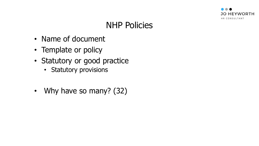

# NHP Policies

- Name of document
- Template or policy
- Statutory or good practice
	- Statutory provisions
- Why have so many? (32)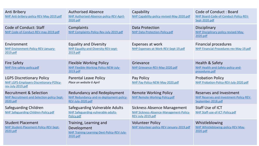| Anti Bribery<br>NHP Anti-bribery-policy-REV-May-2019.pdf                                          | <b>Authorised Absence</b><br>NHP Authorised-Absence-policy-REV-April-<br>2020.pdf                | Capability<br>NHP Capability-policy-revised-May-2020.pdf                                           | Code of Conduct: Board<br>NHP Board-Code-of-Conduct-Policy-REV-<br>Sept-2020.pdf         |
|---------------------------------------------------------------------------------------------------|--------------------------------------------------------------------------------------------------|----------------------------------------------------------------------------------------------------|------------------------------------------------------------------------------------------|
| <b>Code of Conduct: Staff</b><br>NHP Code-of-Conduct-REV-may-2019.pdf                             | Complaints<br>NHP Complaints-Policy-Rev-July-2019.pdf                                            | <b>Data Protection</b><br>NHP Data-Protection-Policy.pdf                                           | Disciplinary<br>NHP Disciplinary-policy-revised-May-<br>2020.pdf                         |
| Environment<br>NHP Environment-Policy-REV-January-<br>2019.pdf                                    | <b>Equality and Diversity</b><br>NHP Equality-and-Diversity-REV-sept-<br>2019.pdf                | Expenses at work<br>NHP Expenses-at-Work-REV-Sept-19.pdf                                           | <b>Financial procedures</b><br>NHP Financial-Procedures-rev-May-19.pdf                   |
| <b>Fire Safety</b><br>NHP Fire-safety-policy.pdf                                                  | <b>Flexible Working Policy</b><br>NHP Flexible-Working-Policy-NEW-July-<br>2019.pdf              | Grievance<br>NHP Grievance-REV-May-2020.pdf                                                        | Health & Safety<br>NHP Health-and-Safety-policy-and-<br>procedures.pdf                   |
| <b>LGPS Discretionary Policy</b><br>NHP LGPS-Employers-Discretionary-POlicy-<br>rev-July-2019.pdf | <b>Parental Leave Policy</b><br>Place on website 6 April                                         | Pay Policy<br>NHP Pay-Policy-NEW-May-2020.pdf                                                      | <b>Probation Policy</b><br>NHP Probation-Policy-REV-July-2020.pdf                        |
| <b>Recruitment &amp; Selection</b><br>NHP Recruitment-and-Selection-policy-Sept-<br>2020.pdf      | Redundancy and Redeployment<br>NHP Redundancy-and-re-deployment-policy-<br>REV-July-2020.pdf     | <b>Remote Working Policy</b><br>NHP Remote-Working-Policy.pdf                                      | Reserves and Investment<br>NHP Reserves-and-Investment-Policy-REV-<br>September-2018.pdf |
| Safeguarding Children<br>NHP Safeguarding-Children-Policy.pdf                                     | Safeguarding Vulnerable Adults<br>NHP Safeguarding-vulnerable-adults-<br>Policy.pdf              | <b>Sickness Absence Management</b><br>NHP Sickness-Absence-Management-Policy-<br>REV-July-2019.pdf | Staff Use of ICT<br>NHP Staff-use-of-ICT-Policy.pdf                                      |
| <b>Student Placement</b><br>NHP Student-Placement-Policy-REV-Sept-<br>2020.pdf                    | Training, Learning and<br>Development<br>NHP Training-Learning-Devt-Policy-REV-July-<br>2020.pdf | <b>Volunteer Policy</b><br>NHP Volunteer-policy-REV-January-2019.pdf                               | Whistleblowing<br>NHP Whistleblowing-policy-REV-May-<br>2020.pdf                         |

ŧ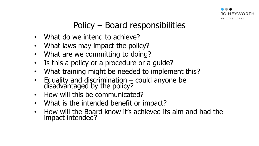

# Policy – Board responsibilities

- What do we intend to achieve?
- What laws may impact the policy?
- What are we committing to doing?
- Is this a policy or a procedure or a guide?
- What training might be needed to implement this?
- Equality and discrimination could anyone be disadvantaged by the policy?
- How will this be communicated?
- What is the intended benefit or impact?
- How will the Board know it's achieved its aim and had the impact intended?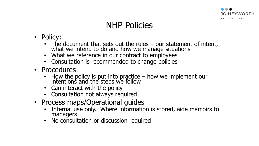

## NHP Policies

- Policy:
	- The document that sets out the rules our statement of intent, what we intend to do and how we manage situations
	- What we reference in our contract to employees
	- Consultation is recommended to change policies
- Procedures
	- How the policy is put into practice how we implement our intentions and the steps we follow
	- Can interact with the policy
	- Consultation not always required
- Process maps/Operational guides
	- Internal use only. Where information is stored, aide memoirs to managers
	- No consultation or discussion required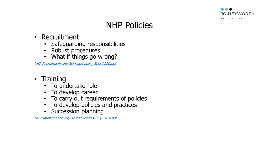

# NHP Policies

- Recruitment
	- Safeguarding responsibilities
	- Robust procedures
	- What if things go wrong?

[NHP Recruitment-and-Selection-policy-Sept-2020.pdf](http://surestartchildrenscentresnhp.org.uk/wp-content/uploads/2020/10/Recruitment-and-Selection-policy-Sept-2020.pdf)

- Training
	- To undertake role
	- To develop career
	- To carry out requirements of policies
	- To develop policies and practices
	- Succession planning

[NHP Training-Learning-Devt-Policy-REV-July-2020.pdf](http://surestartchildrenscentresnhp.org.uk/wp-content/uploads/2020/07/Training-Learning-Devt-Policy-REV-July-2020.pdf)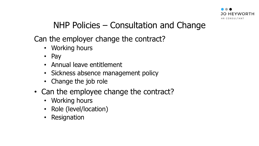

# NHP Policies – Consultation and Change

Can the employer change the contract?

- Working hours
- Pay
- Annual leave entitlement
- Sickness absence management policy
- Change the job role
- Can the employee change the contract?
	- Working hours
	- Role (level/location)
	- Resignation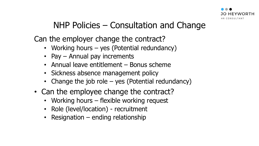

## NHP Policies – Consultation and Change

Can the employer change the contract?

- Working hours yes (Potential redundancy)
- Pay Annual pay increments
- Annual leave entitlement Bonus scheme
- Sickness absence management policy
- Change the job role yes (Potential redundancy)
- Can the employee change the contract?
	- Working hours flexible working request
	- Role (level/location) recruitment
	- Resignation ending relationship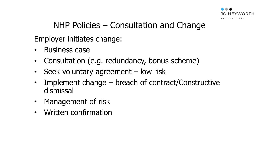

## NHP Policies – Consultation and Change

Employer initiates change:

- Business case
- Consultation (e.g. redundancy, bonus scheme)
- Seek voluntary agreement low risk
- Implement change breach of contract/Constructive dismissal
- Management of risk
- Written confirmation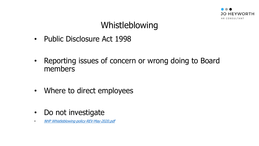

# Whistleblowing

- Public Disclosure Act 1998
- Reporting issues of concern or wrong doing to Board members
- Where to direct employees
- Do not investigate
- [NHP Whistleblowing-policy-REV-May-2020.pdf](http://surestartchildrenscentresnhp.org.uk/wp-content/uploads/2020/07/Whistleblowing-policy-REV-May-2020.pdf)